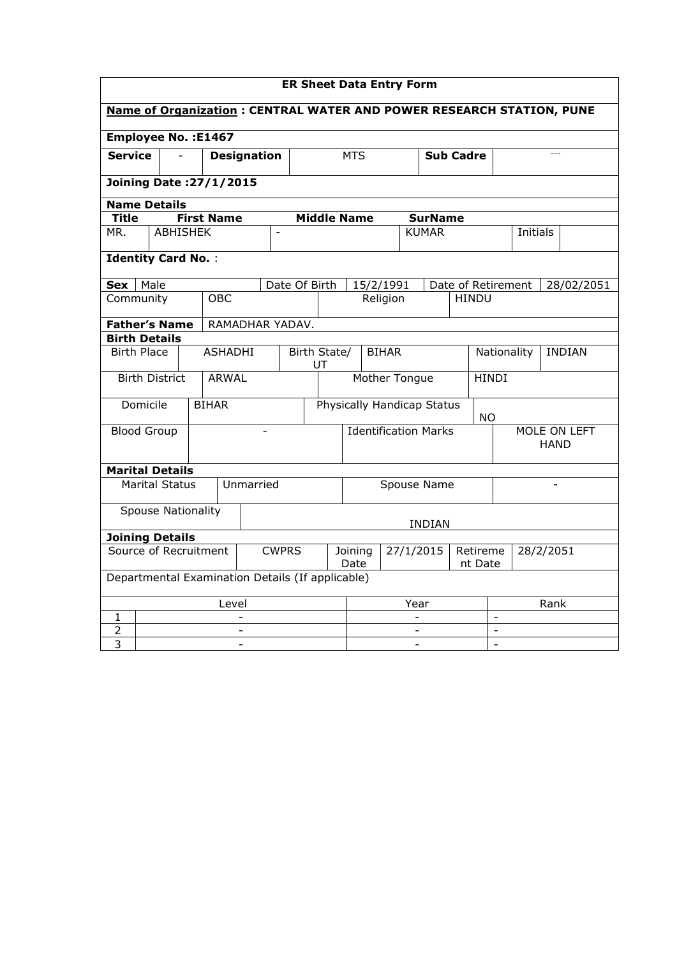| <b>ER Sheet Data Entry Form</b>    |                                                                       |                 |  |                |                   |                          |                    |                                                  |                          |  |                                |          |                               |                |                              |                |  |          |      |            |  |
|------------------------------------|-----------------------------------------------------------------------|-----------------|--|----------------|-------------------|--------------------------|--------------------|--------------------------------------------------|--------------------------|--|--------------------------------|----------|-------------------------------|----------------|------------------------------|----------------|--|----------|------|------------|--|
|                                    | Name of Organization : CENTRAL WATER AND POWER RESEARCH STATION, PUNE |                 |  |                |                   |                          |                    |                                                  |                          |  |                                |          |                               |                |                              |                |  |          |      |            |  |
| <b>Employee No.: E1467</b>         |                                                                       |                 |  |                |                   |                          |                    |                                                  |                          |  |                                |          |                               |                |                              |                |  |          |      |            |  |
| <b>Service</b>                     |                                                                       | $\blacksquare$  |  |                |                   |                          | <b>Designation</b> |                                                  |                          |  | <b>MTS</b><br><b>Sub Cadre</b> |          |                               |                |                              |                |  |          |      |            |  |
| <b>Joining Date: 27/1/2015</b>     |                                                                       |                 |  |                |                   |                          |                    |                                                  |                          |  |                                |          |                               |                |                              |                |  |          |      |            |  |
| <b>Name Details</b>                |                                                                       |                 |  |                |                   |                          |                    |                                                  |                          |  |                                |          |                               |                |                              |                |  |          |      |            |  |
| <b>Title</b>                       |                                                                       |                 |  |                | <b>First Name</b> |                          |                    |                                                  | <b>Middle Name</b>       |  |                                |          |                               | <b>SurName</b> |                              |                |  |          |      |            |  |
| MR.                                |                                                                       | <b>ABHISHEK</b> |  |                |                   |                          | $\blacksquare$     |                                                  |                          |  |                                |          |                               | <b>KUMAR</b>   |                              |                |  | Initials |      |            |  |
|                                    | <b>Identity Card No.:</b>                                             |                 |  |                |                   |                          |                    |                                                  |                          |  |                                |          |                               |                |                              |                |  |          |      |            |  |
| Sex                                | Male                                                                  |                 |  |                |                   |                          |                    | Date Of Birth                                    |                          |  | 15/2/1991                      |          |                               |                | Date of Retirement           |                |  |          |      | 28/02/2051 |  |
| Community                          |                                                                       |                 |  |                | <b>OBC</b>        |                          |                    |                                                  | Religion<br><b>HINDU</b> |  |                                |          |                               |                |                              |                |  |          |      |            |  |
|                                    | <b>Father's Name</b><br>RAMADHAR YADAV.                               |                 |  |                |                   |                          |                    |                                                  |                          |  |                                |          |                               |                |                              |                |  |          |      |            |  |
|                                    | <b>Birth Details</b>                                                  |                 |  |                |                   |                          |                    |                                                  |                          |  |                                |          |                               |                |                              |                |  |          |      |            |  |
| <b>Birth Place</b>                 |                                                                       |                 |  | <b>ASHADHI</b> |                   |                          |                    | Birth State/<br><b>BIHAR</b><br>UT               |                          |  |                                |          |                               |                | Nationality<br><b>INDIAN</b> |                |  |          |      |            |  |
|                                    | <b>Birth District</b>                                                 |                 |  |                | <b>ARWAL</b>      |                          |                    |                                                  |                          |  |                                |          | Mother Tongue<br><b>HINDI</b> |                |                              |                |  |          |      |            |  |
|                                    | Domicile                                                              |                 |  | <b>BIHAR</b>   |                   |                          |                    | Physically Handicap Status                       |                          |  |                                |          | <b>NO</b>                     |                |                              |                |  |          |      |            |  |
| <b>Blood Group</b>                 |                                                                       |                 |  |                |                   |                          |                    | <b>Identification Marks</b>                      |                          |  |                                |          | MOLE ON LEFT<br>HAND          |                |                              |                |  |          |      |            |  |
| <b>Marital Details</b>             |                                                                       |                 |  |                |                   |                          |                    |                                                  |                          |  |                                |          |                               |                |                              |                |  |          |      |            |  |
| <b>Marital Status</b><br>Unmarried |                                                                       |                 |  |                |                   |                          |                    | Spouse Name                                      |                          |  |                                |          |                               |                |                              |                |  |          |      |            |  |
|                                    | <b>Spouse Nationality</b>                                             |                 |  |                |                   |                          |                    |                                                  |                          |  |                                |          |                               | <b>INDIAN</b>  |                              |                |  |          |      |            |  |
| <b>Joining Details</b>             |                                                                       |                 |  |                |                   |                          |                    |                                                  |                          |  |                                |          |                               |                |                              |                |  |          |      |            |  |
| Source of Recruitment              |                                                                       |                 |  |                |                   | <b>CWPRS</b>             |                    | Date                                             | 27/1/2015<br>Joining     |  |                                | Retireme | nt Date                       | 28/2/2051      |                              |                |  |          |      |            |  |
|                                    |                                                                       |                 |  |                |                   |                          |                    | Departmental Examination Details (If applicable) |                          |  |                                |          |                               |                |                              |                |  |          |      |            |  |
|                                    |                                                                       |                 |  |                | Level             |                          |                    |                                                  |                          |  |                                |          | Year                          |                |                              |                |  |          | Rank |            |  |
| 1                                  |                                                                       |                 |  |                |                   | $\overline{\phantom{0}}$ |                    |                                                  |                          |  |                                |          |                               |                |                              | $\blacksquare$ |  |          |      |            |  |
| 2                                  |                                                                       |                 |  |                |                   | ÷.                       |                    |                                                  |                          |  | $\mathbf{r}$<br>$\blacksquare$ |          |                               |                |                              |                |  |          |      |            |  |
| $\overline{3}$                     |                                                                       |                 |  |                |                   |                          |                    |                                                  | $\overline{a}$           |  |                                |          |                               |                |                              |                |  |          |      |            |  |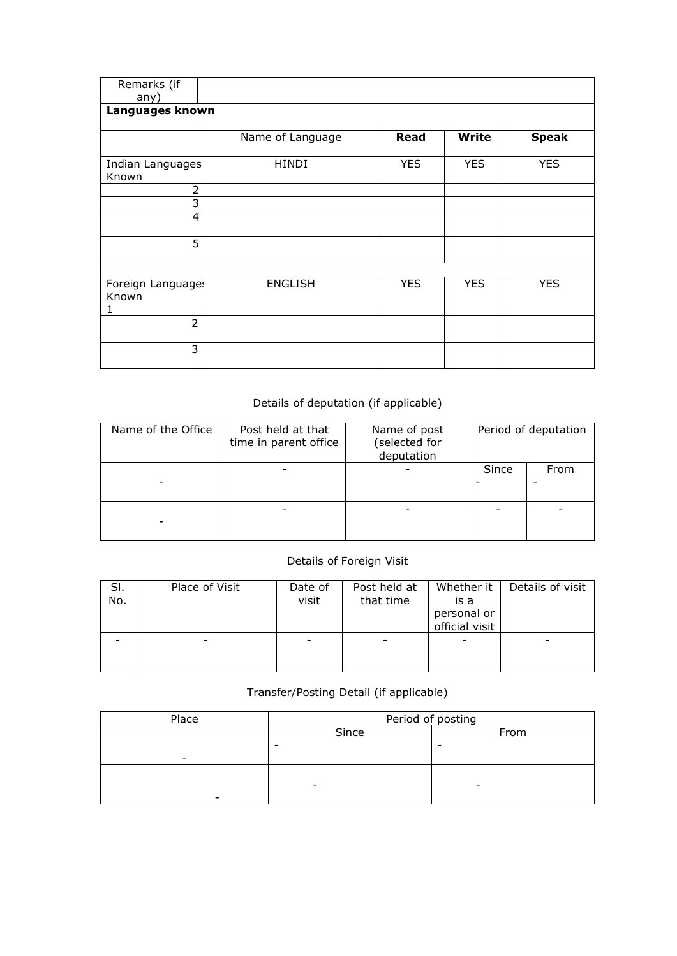| Remarks (if<br>any)             |                  |             |              |              |
|---------------------------------|------------------|-------------|--------------|--------------|
| Languages known                 |                  |             |              |              |
|                                 | Name of Language | <b>Read</b> | <b>Write</b> | <b>Speak</b> |
| Indian Languages<br>Known       | <b>HINDI</b>     | <b>YES</b>  | <b>YES</b>   | <b>YES</b>   |
| $\overline{2}$                  |                  |             |              |              |
| 3                               |                  |             |              |              |
| 4                               |                  |             |              |              |
| 5                               |                  |             |              |              |
|                                 |                  |             |              |              |
| Foreign Languages<br>Known<br>1 | <b>ENGLISH</b>   | <b>YES</b>  | <b>YES</b>   | <b>YES</b>   |
| $\overline{2}$                  |                  |             |              |              |
| 3                               |                  |             |              |              |

## Details of deputation (if applicable)

| Name of the Office | Post held at that<br>time in parent office | Name of post<br>(selected for<br>deputation |       | Period of deputation |
|--------------------|--------------------------------------------|---------------------------------------------|-------|----------------------|
|                    |                                            |                                             | Since | From                 |
|                    |                                            |                                             |       |                      |

## Details of Foreign Visit

| SI.<br>No. | Place of Visit | Date of<br>visit | Post held at<br>that time | Whether it<br>is a<br>personal or<br>official visit | Details of visit |
|------------|----------------|------------------|---------------------------|-----------------------------------------------------|------------------|
|            |                |                  |                           |                                                     |                  |

## Transfer/Posting Detail (if applicable)

| Place                    | Period of posting        |      |  |  |  |  |
|--------------------------|--------------------------|------|--|--|--|--|
|                          | Since                    | From |  |  |  |  |
|                          | -                        |      |  |  |  |  |
| $\overline{\phantom{0}}$ |                          |      |  |  |  |  |
|                          |                          |      |  |  |  |  |
|                          | $\overline{\phantom{0}}$ | -    |  |  |  |  |
|                          |                          |      |  |  |  |  |